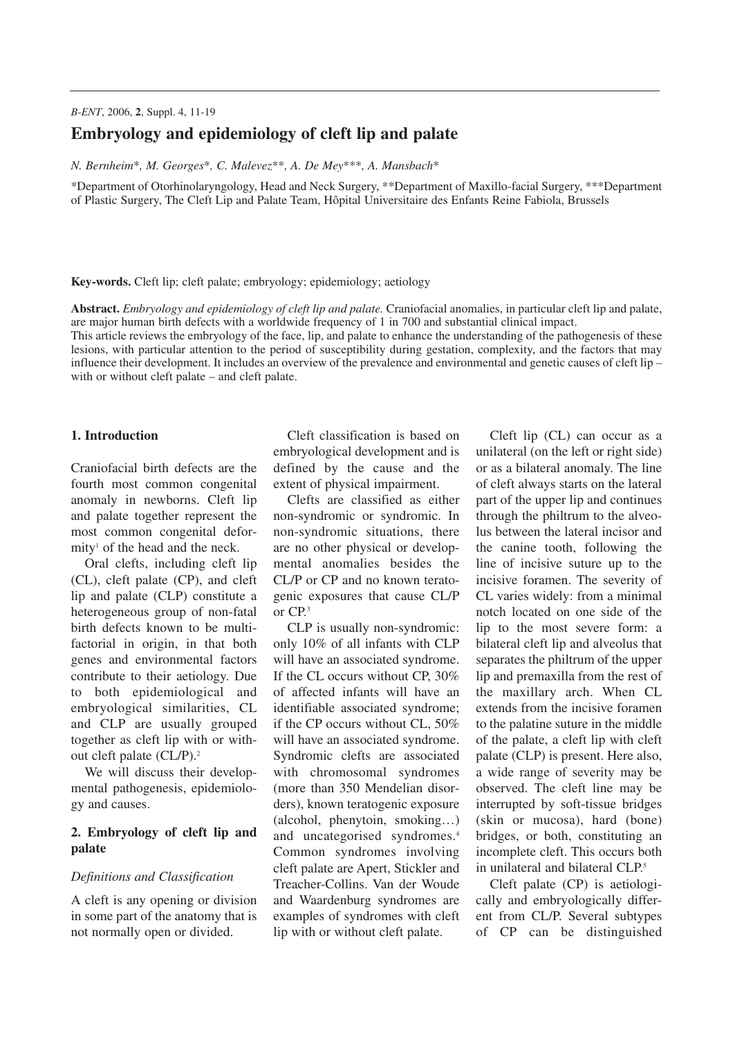# **Embryology and epidemiology of cleft lip and palate**

*N. Bernheim*\**, M. Georges*\**, C. Malevez*\*\**, A. De Mey*\*\*\**, A. Mansbach*\*

\*Department of Otorhinolaryngology, Head and Neck Surgery, \*\*Department of Maxillo-facial Surgery, \*\*\*Department of Plastic Surgery, The Cleft Lip and Palate Team, Hôpital Universitaire des Enfants Reine Fabiola, Brussels

**Key-words.** Cleft lip; cleft palate; embryology; epidemiology; aetiology

**Abstract.** *Embryology and epidemiology of cleft lip and palate.* Craniofacial anomalies, in particular cleft lip and palate, are major human birth defects with a worldwide frequency of 1 in 700 and substantial clinical impact.

This article reviews the embryology of the face, lip, and palate to enhance the understanding of the pathogenesis of these lesions, with particular attention to the period of susceptibility during gestation, complexity, and the factors that may influence their development. It includes an overview of the prevalence and environmental and genetic causes of cleft lip – with or without cleft palate – and cleft palate.

#### **1. Introduction**

Craniofacial birth defects are the fourth most common congenital anomaly in newborns. Cleft lip and palate together represent the most common congenital defor $mity<sup>1</sup>$  of the head and the neck.

Oral clefts, including cleft lip (CL), cleft palate (CP), and cleft lip and palate (CLP) constitute a heterogeneous group of non-fatal birth defects known to be multifactorial in origin, in that both genes and environmental factors contribute to their aetiology. Due to both epidemiological and embryological similarities, CL and CLP are usually grouped together as cleft lip with or without cleft palate (CL/P).<sup>2</sup>

We will discuss their developmental pathogenesis, epidemiology and causes.

## **2. Embryology of cleft lip and palate**

#### *Definitions and Classification*

A cleft is any opening or division in some part of the anatomy that is not normally open or divided.

Cleft classification is based on embryological development and is defined by the cause and the extent of physical impairment.

Clefts are classified as either non-syndromic or syndromic. In non-syndromic situations, there are no other physical or developmental anomalies besides the CL/P or CP and no known teratogenic exposures that cause CL/P or CP.<sup>3</sup>

CLP is usually non-syndromic: only 10% of all infants with CLP will have an associated syndrome. If the CL occurs without CP, 30% of affected infants will have an identifiable associated syndrome; if the CP occurs without CL, 50% will have an associated syndrome. Syndromic clefts are associated with chromosomal syndromes (more than 350 Mendelian disorders), known teratogenic exposure (alcohol, phenytoin, smoking…) and uncategorised syndromes.4 Common syndromes involving cleft palate are Apert, Stickler and Treacher-Collins. Van der Woude and Waardenburg syndromes are examples of syndromes with cleft lip with or without cleft palate.

Cleft lip (CL) can occur as a unilateral (on the left or right side) or as a bilateral anomaly. The line of cleft always starts on the lateral part of the upper lip and continues through the philtrum to the alveolus between the lateral incisor and the canine tooth, following the line of incisive suture up to the incisive foramen. The severity of CL varies widely: from a minimal notch located on one side of the lip to the most severe form: a bilateral cleft lip and alveolus that separates the philtrum of the upper lip and premaxilla from the rest of the maxillary arch. When CL extends from the incisive foramen to the palatine suture in the middle of the palate, a cleft lip with cleft palate (CLP) is present. Here also, a wide range of severity may be observed. The cleft line may be interrupted by soft-tissue bridges (skin or mucosa), hard (bone) bridges, or both, constituting an incomplete cleft. This occurs both in unilateral and bilateral CLP.<sup>5</sup>

Cleft palate (CP) is aetiologically and embryologically different from CL/P. Several subtypes of CP can be distinguished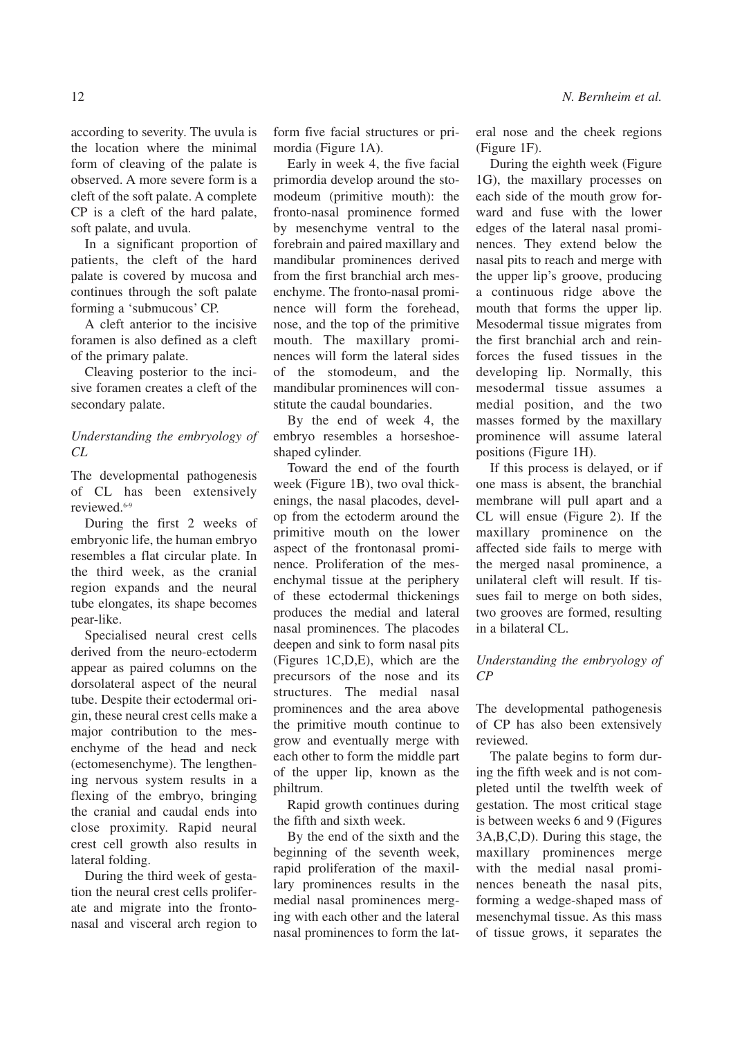according to severity. The uvula is the location where the minimal form of cleaving of the palate is observed. A more severe form is a cleft of the soft palate. A complete CP is a cleft of the hard palate, soft palate, and uvula.

In a significant proportion of patients, the cleft of the hard palate is covered by mucosa and continues through the soft palate forming a 'submucous' CP.

A cleft anterior to the incisive foramen is also defined as a cleft of the primary palate.

Cleaving posterior to the incisive foramen creates a cleft of the secondary palate.

*Understanding the embryology of CL*

The developmental pathogenesis of CL has been extensively reviewed.6-9

During the first 2 weeks of embryonic life, the human embryo resembles a flat circular plate. In the third week, as the cranial region expands and the neural tube elongates, its shape becomes pear-like.

Specialised neural crest cells derived from the neuro-ectoderm appear as paired columns on the dorsolateral aspect of the neural tube. Despite their ectodermal origin, these neural crest cells make a major contribution to the mesenchyme of the head and neck (ectomesenchyme). The lengthening nervous system results in a flexing of the embryo, bringing the cranial and caudal ends into close proximity. Rapid neural crest cell growth also results in lateral folding.

During the third week of gestation the neural crest cells proliferate and migrate into the frontonasal and visceral arch region to form five facial structures or primordia (Figure 1A).

Early in week 4, the five facial primordia develop around the stomodeum (primitive mouth): the fronto-nasal prominence formed by mesenchyme ventral to the forebrain and paired maxillary and mandibular prominences derived from the first branchial arch mesenchyme. The fronto-nasal prominence will form the forehead, nose, and the top of the primitive mouth. The maxillary prominences will form the lateral sides of the stomodeum, and the mandibular prominences will constitute the caudal boundaries.

By the end of week 4, the embryo resembles a horseshoeshaped cylinder.

Toward the end of the fourth week (Figure 1B), two oval thickenings, the nasal placodes, develop from the ectoderm around the primitive mouth on the lower aspect of the frontonasal prominence. Proliferation of the mesenchymal tissue at the periphery of these ectodermal thickenings produces the medial and lateral nasal prominences. The placodes deepen and sink to form nasal pits (Figures 1C,D,E), which are the precursors of the nose and its structures. The medial nasal prominences and the area above the primitive mouth continue to grow and eventually merge with each other to form the middle part of the upper lip, known as the philtrum.

Rapid growth continues during the fifth and sixth week.

By the end of the sixth and the beginning of the seventh week, rapid proliferation of the maxillary prominences results in the medial nasal prominences merging with each other and the lateral nasal prominences to form the lateral nose and the cheek regions (Figure 1F).

During the eighth week (Figure 1G), the maxillary processes on each side of the mouth grow forward and fuse with the lower edges of the lateral nasal prominences. They extend below the nasal pits to reach and merge with the upper lip's groove, producing a continuous ridge above the mouth that forms the upper lip. Mesodermal tissue migrates from the first branchial arch and reinforces the fused tissues in the developing lip. Normally, this mesodermal tissue assumes a medial position, and the two masses formed by the maxillary prominence will assume lateral positions (Figure 1H).

If this process is delayed, or if one mass is absent, the branchial membrane will pull apart and a CL will ensue (Figure 2). If the maxillary prominence on the affected side fails to merge with the merged nasal prominence, a unilateral cleft will result. If tissues fail to merge on both sides, two grooves are formed, resulting in a bilateral CL.

## *Understanding the embryology of CP*

The developmental pathogenesis of CP has also been extensively reviewed.

The palate begins to form during the fifth week and is not completed until the twelfth week of gestation. The most critical stage is between weeks 6 and 9 (Figures 3A,B,C,D). During this stage, the maxillary prominences merge with the medial nasal prominences beneath the nasal pits, forming a wedge-shaped mass of mesenchymal tissue. As this mass of tissue grows, it separates the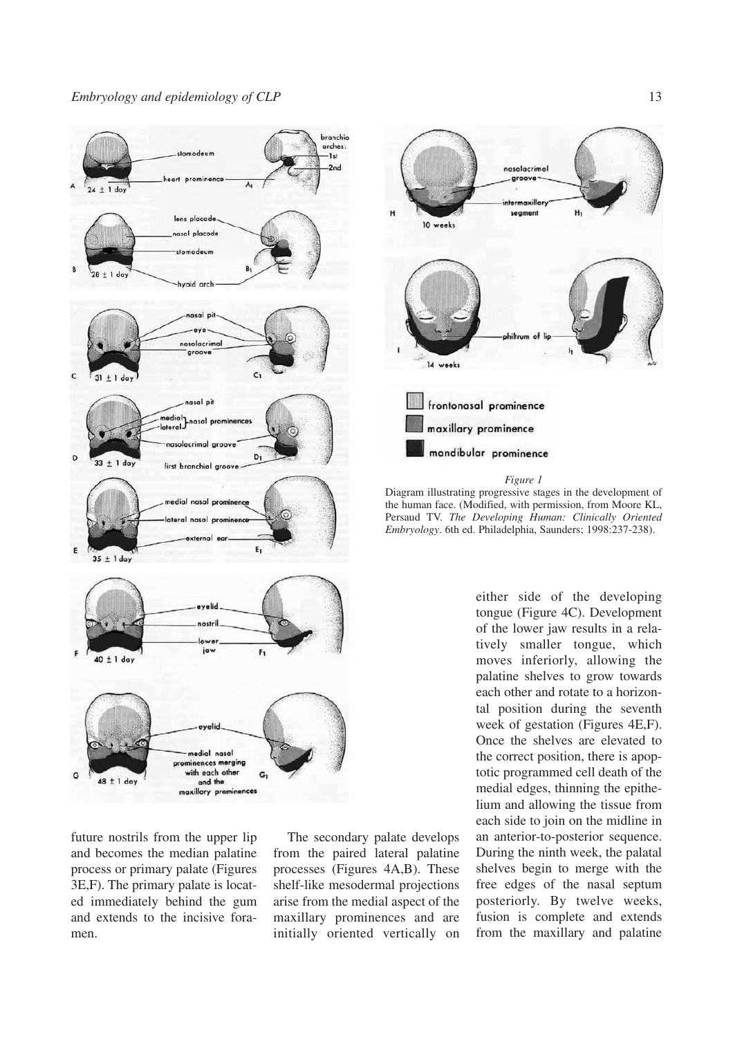

future nostrils from the upper lip and becomes the median palatine process or primary palate (Figures 3E,F). The primary palate is located immediately behind the gum and extends to the incisive foramen.

The secondary palate develops from the paired lateral palatine processes (Figures 4A,B). These shelf-like mesodermal projections arise from the medial aspect of the maxillary prominences and are initially oriented vertically on



*Figure 1*

Diagram illustrating progressive stages in the development of the human face. (Modified, with permission, from Moore KL, Persaud TV. *The Developing Human: Clinically Oriented Embryology*. 6th ed. Philadelphia, Saunders; 1998:237-238).

> either side of the developing tongue (Figure 4C). Development of the lower jaw results in a relatively smaller tongue, which moves inferiorly, allowing the palatine shelves to grow towards each other and rotate to a horizontal position during the seventh week of gestation (Figures 4E,F). Once the shelves are elevated to the correct position, there is apoptotic programmed cell death of the medial edges, thinning the epithelium and allowing the tissue from each side to join on the midline in an anterior-to-posterior sequence. During the ninth week, the palatal shelves begin to merge with the free edges of the nasal septum posteriorly. By twelve weeks, fusion is complete and extends from the maxillary and palatine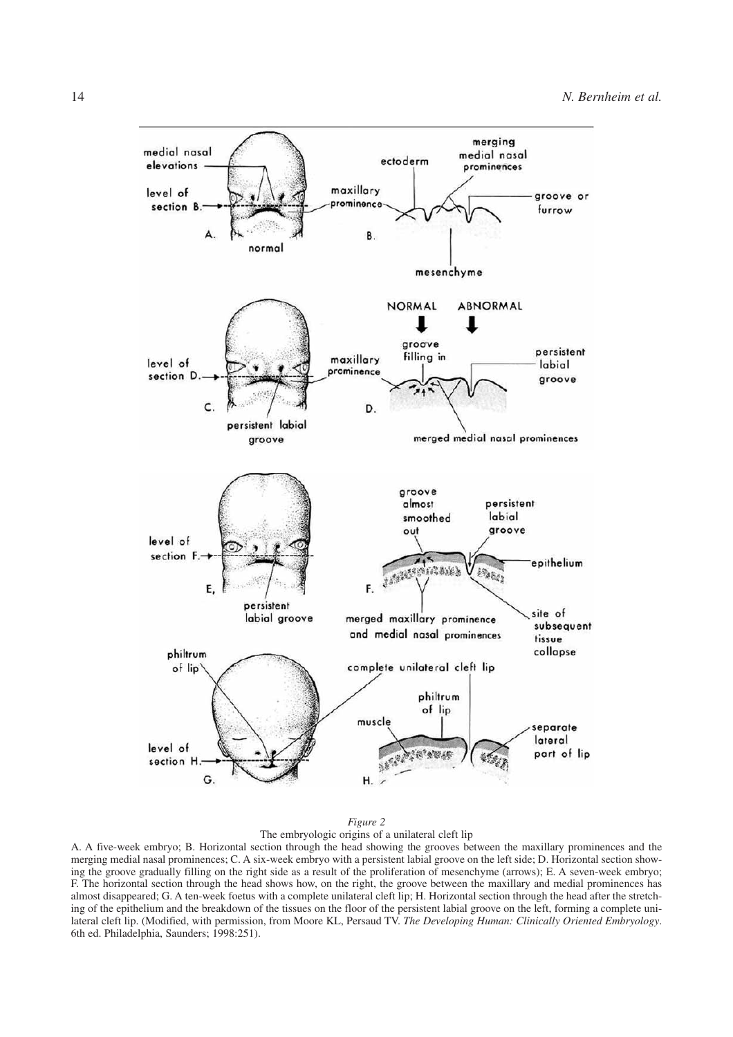

#### *Figure 2* The embryologic origins of a unilateral cleft lip

A. A five-week embryo; B. Horizontal section through the head showing the grooves between the maxillary prominences and the merging medial nasal prominences; C. A six-week embryo with a persistent labial groove on the left side; D. Horizontal section showing the groove gradually filling on the right side as a result of the proliferation of mesenchyme (arrows); E. A seven-week embryo; F. The horizontal section through the head shows how, on the right, the groove between the maxillary and medial prominences has almost disappeared; G. A ten-week foetus with a complete unilateral cleft lip; H. Horizontal section through the head after the stretching of the epithelium and the breakdown of the tissues on the floor of the persistent labial groove on the left, forming a complete unilateral cleft lip. (Modified, with permission, from Moore KL, Persaud TV. *The Developing Human: Clinically Oriented Embryology*. 6th ed. Philadelphia, Saunders; 1998:251).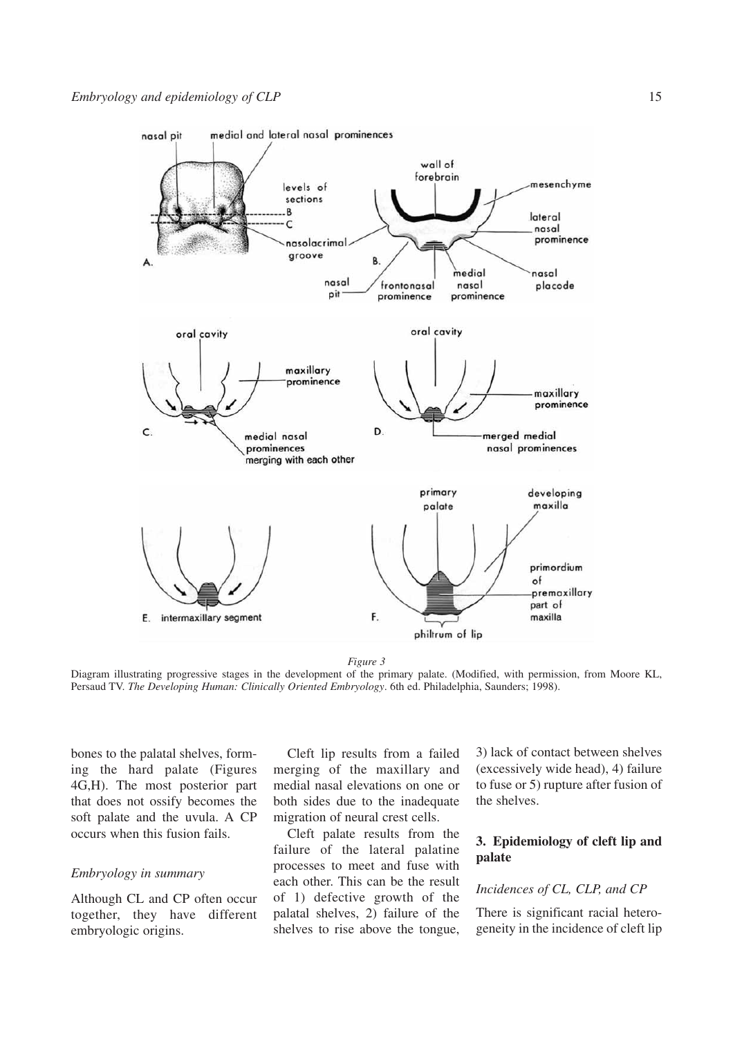

*Figure 3*

Diagram illustrating progressive stages in the development of the primary palate. (Modified, with permission, from Moore KL, Persaud TV. *The Developing Human: Clinically Oriented Embryology*. 6th ed. Philadelphia, Saunders; 1998).

bones to the palatal shelves, forming the hard palate (Figures 4G,H). The most posterior part that does not ossify becomes the soft palate and the uvula. A CP occurs when this fusion fails.

### *Embryology in summary*

Although CL and CP often occur together, they have different embryologic origins.

Cleft lip results from a failed merging of the maxillary and medial nasal elevations on one or both sides due to the inadequate migration of neural crest cells.

Cleft palate results from the failure of the lateral palatine processes to meet and fuse with each other. This can be the result of 1) defective growth of the palatal shelves, 2) failure of the shelves to rise above the tongue, 3) lack of contact between shelves (excessively wide head), 4) failure to fuse or 5) rupture after fusion of the shelves.

# **3. Epidemiology of cleft lip and palate**

### *Incidences of CL, CLP, and CP*

There is significant racial heterogeneity in the incidence of cleft lip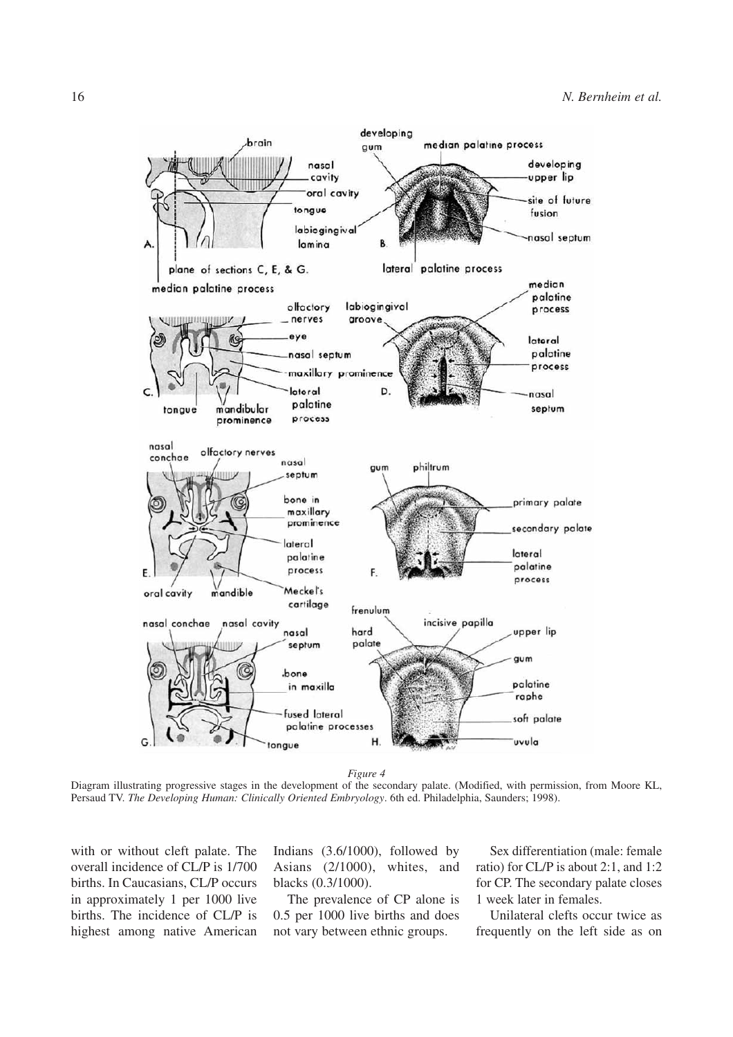

*Figure 4*

Diagram illustrating progressive stages in the development of the secondary palate. (Modified, with permission, from Moore KL, Persaud TV. *The Developing Human: Clinically Oriented Embryology*. 6th ed. Philadelphia, Saunders; 1998).

with or without cleft palate. The overall incidence of CL/P is 1/700 births. In Caucasians, CL/P occurs in approximately 1 per 1000 live births. The incidence of CL/P is highest among native American Indians (3.6/1000), followed by Asians (2/1000), whites, and blacks (0.3/1000).

The prevalence of CP alone is 0.5 per 1000 live births and does not vary between ethnic groups.

Sex differentiation (male: female ratio) for CL/P is about 2:1, and 1:2 for CP. The secondary palate closes 1 week later in females.

Unilateral clefts occur twice as frequently on the left side as on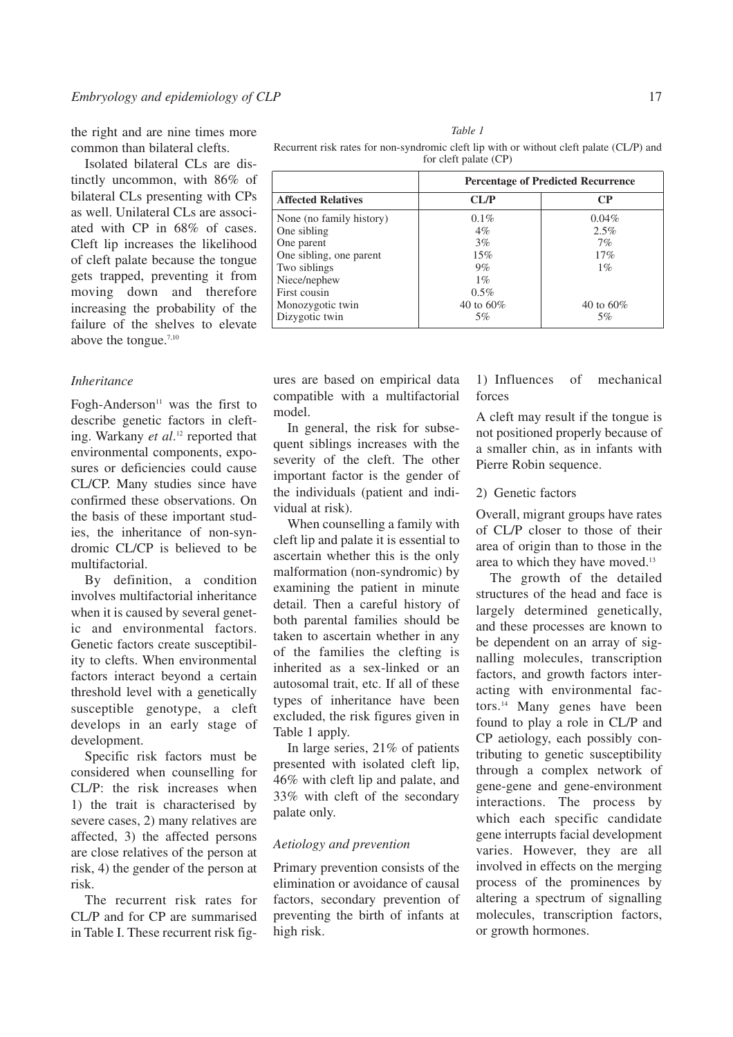the right and are nine times more common than bilateral clefts.

Isolated bilateral CLs are distinctly uncommon, with 86% of bilateral CLs presenting with CPs as well. Unilateral CLs are associated with CP in 68% of cases. Cleft lip increases the likelihood of cleft palate because the tongue gets trapped, preventing it from moving down and therefore increasing the probability of the failure of the shelves to elevate above the tongue.<sup>7,10</sup>

### *Inheritance*

Fogh-Anderson<sup>11</sup> was the first to describe genetic factors in clefting. Warkany *et al*. <sup>12</sup> reported that environmental components, exposures or deficiencies could cause CL/CP. Many studies since have confirmed these observations. On the basis of these important studies, the inheritance of non-syndromic CL/CP is believed to be multifactorial.

By definition, a condition involves multifactorial inheritance when it is caused by several genetic and environmental factors. Genetic factors create susceptibility to clefts. When environmental factors interact beyond a certain threshold level with a genetically susceptible genotype, a cleft develops in an early stage of development.

Specific risk factors must be considered when counselling for CL/P: the risk increases when 1) the trait is characterised by severe cases, 2) many relatives are affected, 3) the affected persons are close relatives of the person at risk, 4) the gender of the person at risk.

The recurrent risk rates for CL/P and for CP are summarised in Table I. These recurrent risk figures are based on empirical data compatible with a multifactorial model.

In general, the risk for subsequent siblings increases with the severity of the cleft. The other important factor is the gender of the individuals (patient and individual at risk).

When counselling a family with cleft lip and palate it is essential to ascertain whether this is the only malformation (non-syndromic) by examining the patient in minute detail. Then a careful history of both parental families should be taken to ascertain whether in any of the families the clefting is inherited as a sex-linked or an autosomal trait, etc. If all of these types of inheritance have been excluded, the risk figures given in Table 1 apply.

In large series, 21% of patients presented with isolated cleft lip, 46% with cleft lip and palate, and 33% with cleft of the secondary palate only.

### *Aetiology and prevention*

Primary prevention consists of the elimination or avoidance of causal factors, secondary prevention of preventing the birth of infants at high risk.

1) Influences of mechanical forces

A cleft may result if the tongue is not positioned properly because of a smaller chin, as in infants with Pierre Robin sequence.

#### 2) Genetic factors

Overall, migrant groups have rates of CL/P closer to those of their area of origin than to those in the area to which they have moved.13

The growth of the detailed structures of the head and face is largely determined genetically, and these processes are known to be dependent on an array of signalling molecules, transcription factors, and growth factors interacting with environmental factors.14 Many genes have been found to play a role in CL/P and CP aetiology, each possibly contributing to genetic susceptibility through a complex network of gene-gene and gene-environment interactions. The process by which each specific candidate gene interrupts facial development varies. However, they are all involved in effects on the merging process of the prominences by altering a spectrum of signalling molecules, transcription factors, or growth hormones.

## Recurrent risk rates for non-syndromic cleft lip with or without cleft palate (CL/P) and for cleft palate (CP)

*Table 1*

|                           | <b>Percentage of Predicted Recurrence</b> |              |
|---------------------------|-------------------------------------------|--------------|
| <b>Affected Relatives</b> | CL/P                                      | $\bf CP$     |
| None (no family history)  | $0.1\%$                                   | 0.04%        |
| One sibling               | $4\%$                                     | 2.5%         |
| One parent                | 3%                                        | $7\%$        |
| One sibling, one parent   | 15%                                       | 17%          |
| Two siblings              | $9\%$                                     | $1\%$        |
| Niece/nephew              | $1\%$                                     |              |
| First cousin              | $0.5\%$                                   |              |
| Monozygotic twin          | 40 to $60\%$                              | 40 to $60\%$ |
| Dizygotic twin            | 5%                                        | 5%           |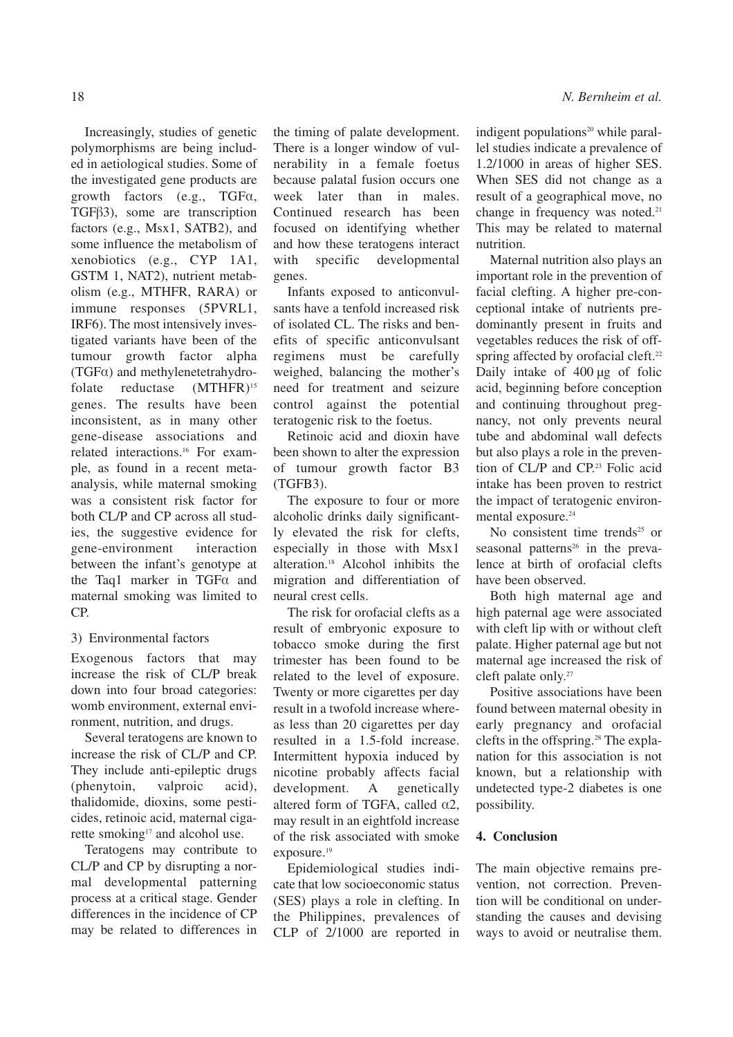Increasingly, studies of genetic polymorphisms are being included in aetiological studies. Some of the investigated gene products are growth factors (e.g., TGFa,  $TGF\beta3$ ), some are transcription factors (e.g., Msx1, SATB2), and some influence the metabolism of xenobiotics (e.g., CYP 1A1, GSTM 1, NAT2), nutrient metabolism (e.g., MTHFR, RARA) or immune responses (5PVRL1, IRF6). The most intensively investigated variants have been of the tumour growth factor alpha  $(TGF\alpha)$  and methylenetetrahydrofolate reductase (MTHFR)15 genes. The results have been inconsistent, as in many other gene-disease associations and related interactions.16 For example, as found in a recent metaanalysis, while maternal smoking was a consistent risk factor for both CL/P and CP across all studies, the suggestive evidence for gene-environment interaction between the infant's genotype at the Taq1 marker in TGF $\alpha$  and maternal smoking was limited to CP.

### 3) Environmental factors

Exogenous factors that may increase the risk of CL/P break down into four broad categories: womb environment, external environment, nutrition, and drugs.

Several teratogens are known to increase the risk of CL/P and CP. They include anti-epileptic drugs (phenytoin, valproic acid), thalidomide, dioxins, some pesticides, retinoic acid, maternal cigarette smoking<sup>17</sup> and alcohol use.

Teratogens may contribute to CL/P and CP by disrupting a normal developmental patterning process at a critical stage. Gender differences in the incidence of CP may be related to differences in the timing of palate development. There is a longer window of vulnerability in a female foetus because palatal fusion occurs one week later than in males. Continued research has been focused on identifying whether and how these teratogens interact with specific developmental genes.

Infants exposed to anticonvulsants have a tenfold increased risk of isolated CL. The risks and benefits of specific anticonvulsant regimens must be carefully weighed, balancing the mother's need for treatment and seizure control against the potential teratogenic risk to the foetus.

Retinoic acid and dioxin have been shown to alter the expression of tumour growth factor B3 (TGFB3).

The exposure to four or more alcoholic drinks daily significantly elevated the risk for clefts, especially in those with Msx1 alteration.18 Alcohol inhibits the migration and differentiation of neural crest cells.

The risk for orofacial clefts as a result of embryonic exposure to tobacco smoke during the first trimester has been found to be related to the level of exposure. Twenty or more cigarettes per day result in a twofold increase whereas less than 20 cigarettes per day resulted in a 1.5-fold increase. Intermittent hypoxia induced by nicotine probably affects facial development. A genetically altered form of TGFA, called  $\alpha$ 2, may result in an eightfold increase of the risk associated with smoke exposure.<sup>19</sup>

Epidemiological studies indicate that low socioeconomic status (SES) plays a role in clefting. In the Philippines, prevalences of CLP of 2/1000 are reported in indigent populations $20$  while parallel studies indicate a prevalence of 1.2/1000 in areas of higher SES. When SES did not change as a result of a geographical move, no change in frequency was noted.<sup>21</sup> This may be related to maternal nutrition.

Maternal nutrition also plays an important role in the prevention of facial clefting. A higher pre-conceptional intake of nutrients predominantly present in fruits and vegetables reduces the risk of offspring affected by orofacial cleft.<sup>22</sup> Daily intake of 400 µg of folic acid, beginning before conception and continuing throughout pregnancy, not only prevents neural tube and abdominal wall defects but also plays a role in the prevention of CL/P and CP.<sup>23</sup> Folic acid intake has been proven to restrict the impact of teratogenic environmental exposure.<sup>24</sup>

No consistent time trends<sup>25</sup> or seasonal patterns<sup>26</sup> in the prevalence at birth of orofacial clefts have been observed.

Both high maternal age and high paternal age were associated with cleft lip with or without cleft palate. Higher paternal age but not maternal age increased the risk of cleft palate only.<sup>27</sup>

Positive associations have been found between maternal obesity in early pregnancy and orofacial clefts in the offspring.28 The explanation for this association is not known, but a relationship with undetected type-2 diabetes is one possibility.

### **4. Conclusion**

The main objective remains prevention, not correction. Prevention will be conditional on understanding the causes and devising ways to avoid or neutralise them.